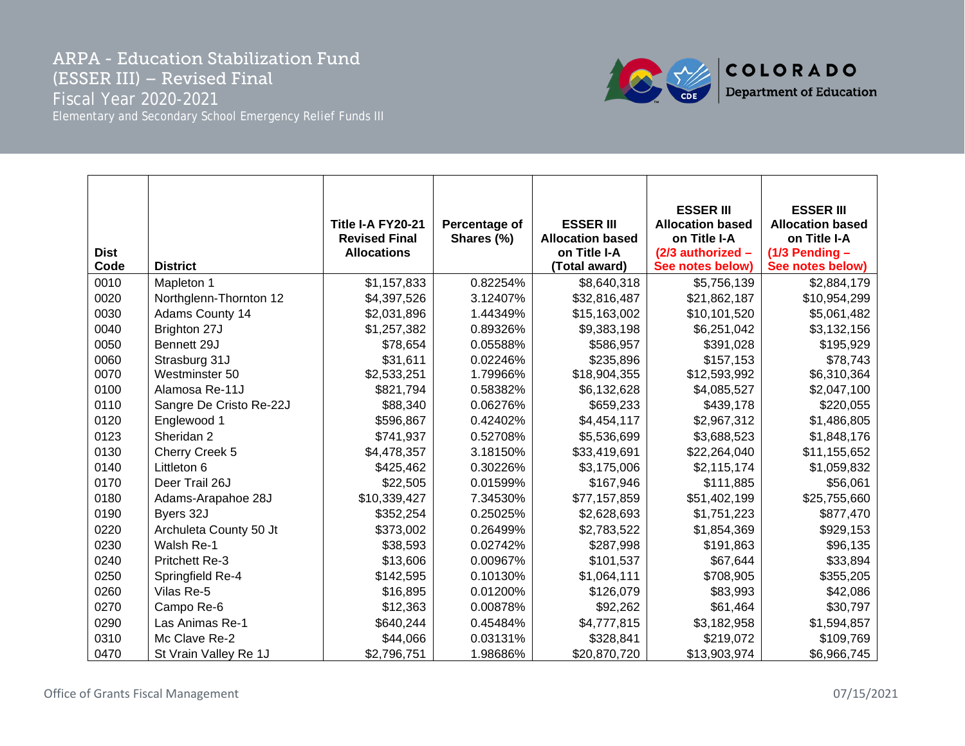## ARPA - Education Stabilization Fund (ESSER III) – Revised Final Fiscal Year 2020-2021 Elementary and Secondary School Emergency Relief Funds III



| <b>Dist</b><br>Code | <b>District</b>         | Title I-A FY20-21<br><b>Revised Final</b><br><b>Allocations</b> | Percentage of<br>Shares (%) | <b>ESSER III</b><br><b>Allocation based</b><br>on Title I-A<br>(Total award) | <b>ESSER III</b><br><b>Allocation based</b><br>on Title I-A<br>(2/3 authorized -<br>See notes below) | <b>ESSER III</b><br><b>Allocation based</b><br>on Title I-A<br>$(1/3$ Pending -<br>See notes below) |
|---------------------|-------------------------|-----------------------------------------------------------------|-----------------------------|------------------------------------------------------------------------------|------------------------------------------------------------------------------------------------------|-----------------------------------------------------------------------------------------------------|
| 0010                | Mapleton 1              | \$1,157,833                                                     | 0.82254%                    | \$8,640,318                                                                  | \$5,756,139                                                                                          | \$2,884,179                                                                                         |
| 0020                | Northglenn-Thornton 12  | \$4,397,526                                                     | 3.12407%                    | \$32,816,487                                                                 | \$21,862,187                                                                                         | \$10,954,299                                                                                        |
| 0030                | <b>Adams County 14</b>  | \$2,031,896                                                     | 1.44349%                    | \$15,163,002                                                                 | \$10,101,520                                                                                         | \$5,061,482                                                                                         |
| 0040                | Brighton 27J            | \$1,257,382                                                     | 0.89326%                    | \$9,383,198                                                                  | \$6,251,042                                                                                          | \$3,132,156                                                                                         |
| 0050                | Bennett 29J             | \$78,654                                                        | 0.05588%                    | \$586,957                                                                    | \$391,028                                                                                            | \$195,929                                                                                           |
| 0060                | Strasburg 31J           | \$31,611                                                        | 0.02246%                    | \$235,896                                                                    | \$157,153                                                                                            | \$78,743                                                                                            |
| 0070                | Westminster 50          | \$2,533,251                                                     | 1.79966%                    | \$18,904,355                                                                 | \$12,593,992                                                                                         | \$6,310,364                                                                                         |
| 0100                | Alamosa Re-11J          | \$821,794                                                       | 0.58382%                    | \$6,132,628                                                                  | \$4,085,527                                                                                          | \$2,047,100                                                                                         |
| 0110                | Sangre De Cristo Re-22J | \$88,340                                                        | 0.06276%                    | \$659,233                                                                    | \$439,178                                                                                            | \$220,055                                                                                           |
| 0120                | Englewood 1             | \$596,867                                                       | 0.42402%                    | \$4,454,117                                                                  | \$2,967,312                                                                                          | \$1,486,805                                                                                         |
| 0123                | Sheridan 2              | \$741,937                                                       | 0.52708%                    | \$5,536,699                                                                  | \$3,688,523                                                                                          | \$1,848,176                                                                                         |
| 0130                | Cherry Creek 5          | \$4,478,357                                                     | 3.18150%                    | \$33,419,691                                                                 | \$22,264,040                                                                                         | \$11,155,652                                                                                        |
| 0140                | Littleton 6             | \$425,462                                                       | 0.30226%                    | \$3,175,006                                                                  | \$2,115,174                                                                                          | \$1,059,832                                                                                         |
| 0170                | Deer Trail 26J          | \$22,505                                                        | 0.01599%                    | \$167,946                                                                    | \$111,885                                                                                            | \$56,061                                                                                            |
| 0180                | Adams-Arapahoe 28J      | \$10,339,427                                                    | 7.34530%                    | \$77,157,859                                                                 | \$51,402,199                                                                                         | \$25,755,660                                                                                        |
| 0190                | Byers 32J               | \$352,254                                                       | 0.25025%                    | \$2,628,693                                                                  | \$1,751,223                                                                                          | \$877,470                                                                                           |
| 0220                | Archuleta County 50 Jt  | \$373,002                                                       | 0.26499%                    | \$2,783,522                                                                  | \$1,854,369                                                                                          | \$929,153                                                                                           |
| 0230                | Walsh Re-1              | \$38,593                                                        | 0.02742%                    | \$287,998                                                                    | \$191,863                                                                                            | \$96,135                                                                                            |
| 0240                | Pritchett Re-3          | \$13,606                                                        | 0.00967%                    | \$101,537                                                                    | \$67,644                                                                                             | \$33,894                                                                                            |
| 0250                | Springfield Re-4        | \$142,595                                                       | 0.10130%                    | \$1,064,111                                                                  | \$708,905                                                                                            | \$355,205                                                                                           |
| 0260                | Vilas Re-5              | \$16,895                                                        | 0.01200%                    | \$126,079                                                                    | \$83,993                                                                                             | \$42,086                                                                                            |
| 0270                | Campo Re-6              | \$12,363                                                        | 0.00878%                    | \$92,262                                                                     | \$61,464                                                                                             | \$30,797                                                                                            |
| 0290                | Las Animas Re-1         | \$640,244                                                       | 0.45484%                    | \$4,777,815                                                                  | \$3,182,958                                                                                          | \$1,594,857                                                                                         |
| 0310                | Mc Clave Re-2           | \$44,066                                                        | 0.03131%                    | \$328,841                                                                    | \$219,072                                                                                            | \$109,769                                                                                           |
| 0470                | St Vrain Valley Re 1J   | \$2,796,751                                                     | 1.98686%                    | \$20,870,720                                                                 | \$13,903,974                                                                                         | \$6,966,745                                                                                         |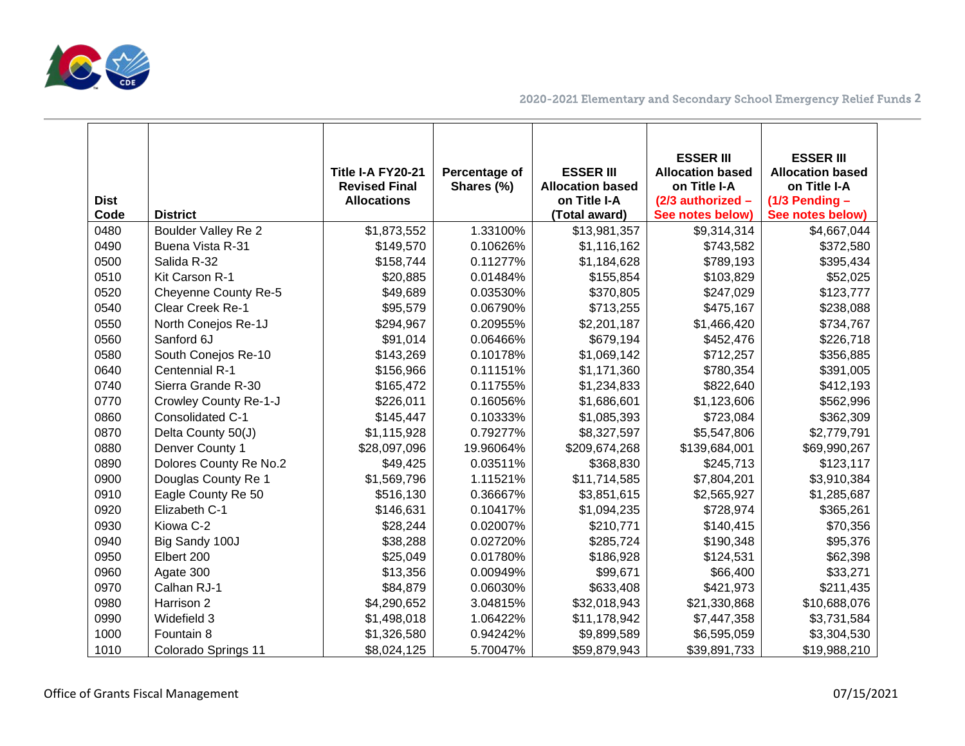

| <b>Dist</b><br>Code | <b>District</b>            | Title I-A FY20-21<br><b>Revised Final</b><br><b>Allocations</b> | Percentage of<br>Shares (%) | <b>ESSER III</b><br><b>Allocation based</b><br>on Title I-A<br>(Total award) | <b>ESSER III</b><br><b>Allocation based</b><br>on Title I-A<br>(2/3 authorized -<br>See notes below) | <b>ESSER III</b><br><b>Allocation based</b><br>on Title I-A<br>$(1/3$ Pending -<br>See notes below) |
|---------------------|----------------------------|-----------------------------------------------------------------|-----------------------------|------------------------------------------------------------------------------|------------------------------------------------------------------------------------------------------|-----------------------------------------------------------------------------------------------------|
| 0480                | <b>Boulder Valley Re 2</b> | \$1,873,552                                                     | 1.33100%                    | \$13,981,357                                                                 | \$9,314,314                                                                                          | \$4,667,044                                                                                         |
| 0490                | Buena Vista R-31           | \$149,570                                                       | 0.10626%                    | \$1,116,162                                                                  | \$743,582                                                                                            | \$372,580                                                                                           |
| 0500                | Salida R-32                | \$158,744                                                       | 0.11277%                    | \$1,184,628                                                                  | \$789,193                                                                                            | \$395,434                                                                                           |
| 0510                | Kit Carson R-1             | \$20,885                                                        | 0.01484%                    | \$155,854                                                                    | \$103,829                                                                                            | \$52,025                                                                                            |
| 0520                | Cheyenne County Re-5       | \$49,689                                                        | 0.03530%                    | \$370,805                                                                    | \$247,029                                                                                            | \$123,777                                                                                           |
| 0540                | Clear Creek Re-1           | \$95,579                                                        | 0.06790%                    | \$713,255                                                                    | \$475,167                                                                                            | \$238,088                                                                                           |
| 0550                | North Conejos Re-1J        | \$294,967                                                       | 0.20955%                    | \$2,201,187                                                                  | \$1,466,420                                                                                          | \$734,767                                                                                           |
| 0560                | Sanford 6J                 | \$91,014                                                        | 0.06466%                    | \$679,194                                                                    | \$452,476                                                                                            | \$226,718                                                                                           |
| 0580                | South Conejos Re-10        | \$143,269                                                       | 0.10178%                    | \$1,069,142                                                                  | \$712,257                                                                                            | \$356,885                                                                                           |
| 0640                | <b>Centennial R-1</b>      | \$156,966                                                       | 0.11151%                    | \$1,171,360                                                                  | \$780,354                                                                                            | \$391,005                                                                                           |
| 0740                | Sierra Grande R-30         | \$165,472                                                       | 0.11755%                    | \$1,234,833                                                                  | \$822,640                                                                                            | \$412,193                                                                                           |
| 0770                | Crowley County Re-1-J      | \$226,011                                                       | 0.16056%                    | \$1,686,601                                                                  | \$1,123,606                                                                                          | \$562,996                                                                                           |
| 0860                | Consolidated C-1           | \$145,447                                                       | 0.10333%                    | \$1,085,393                                                                  | \$723,084                                                                                            | \$362,309                                                                                           |
| 0870                | Delta County 50(J)         | \$1,115,928                                                     | 0.79277%                    | \$8,327,597                                                                  | \$5,547,806                                                                                          | \$2,779,791                                                                                         |
| 0880                | Denver County 1            | \$28,097,096                                                    | 19.96064%                   | \$209,674,268                                                                | \$139,684,001                                                                                        | \$69,990,267                                                                                        |
| 0890                | Dolores County Re No.2     | \$49,425                                                        | 0.03511%                    | \$368,830                                                                    | \$245,713                                                                                            | \$123,117                                                                                           |
| 0900                | Douglas County Re 1        | \$1,569,796                                                     | 1.11521%                    | \$11,714,585                                                                 | \$7,804,201                                                                                          | \$3,910,384                                                                                         |
| 0910                | Eagle County Re 50         | \$516,130                                                       | 0.36667%                    | \$3,851,615                                                                  | \$2,565,927                                                                                          | \$1,285,687                                                                                         |
| 0920                | Elizabeth C-1              | \$146,631                                                       | 0.10417%                    | \$1,094,235                                                                  | \$728,974                                                                                            | \$365,261                                                                                           |
| 0930                | Kiowa C-2                  | \$28,244                                                        | 0.02007%                    | \$210,771                                                                    | \$140,415                                                                                            | \$70,356                                                                                            |
| 0940                | Big Sandy 100J             | \$38,288                                                        | 0.02720%                    | \$285,724                                                                    | \$190,348                                                                                            | \$95,376                                                                                            |
| 0950                | Elbert 200                 | \$25,049                                                        | 0.01780%                    | \$186,928                                                                    | \$124,531                                                                                            | \$62,398                                                                                            |
| 0960                | Agate 300                  | \$13,356                                                        | 0.00949%                    | \$99,671                                                                     | \$66,400                                                                                             | \$33,271                                                                                            |
| 0970                | Calhan RJ-1                | \$84,879                                                        | 0.06030%                    | \$633,408                                                                    | \$421,973                                                                                            | \$211,435                                                                                           |
| 0980                | Harrison 2                 | \$4,290,652                                                     | 3.04815%                    | \$32,018,943                                                                 | \$21,330,868                                                                                         | \$10,688,076                                                                                        |
| 0990                | Widefield 3                | \$1,498,018                                                     | 1.06422%                    | \$11,178,942                                                                 | \$7,447,358                                                                                          | \$3,731,584                                                                                         |
| 1000                | Fountain 8                 | \$1,326,580                                                     | 0.94242%                    | \$9,899,589                                                                  | \$6,595,059                                                                                          | \$3,304,530                                                                                         |
| 1010                | Colorado Springs 11        | \$8,024,125                                                     | 5.70047%                    | \$59,879,943                                                                 | \$39,891,733                                                                                         | \$19,988,210                                                                                        |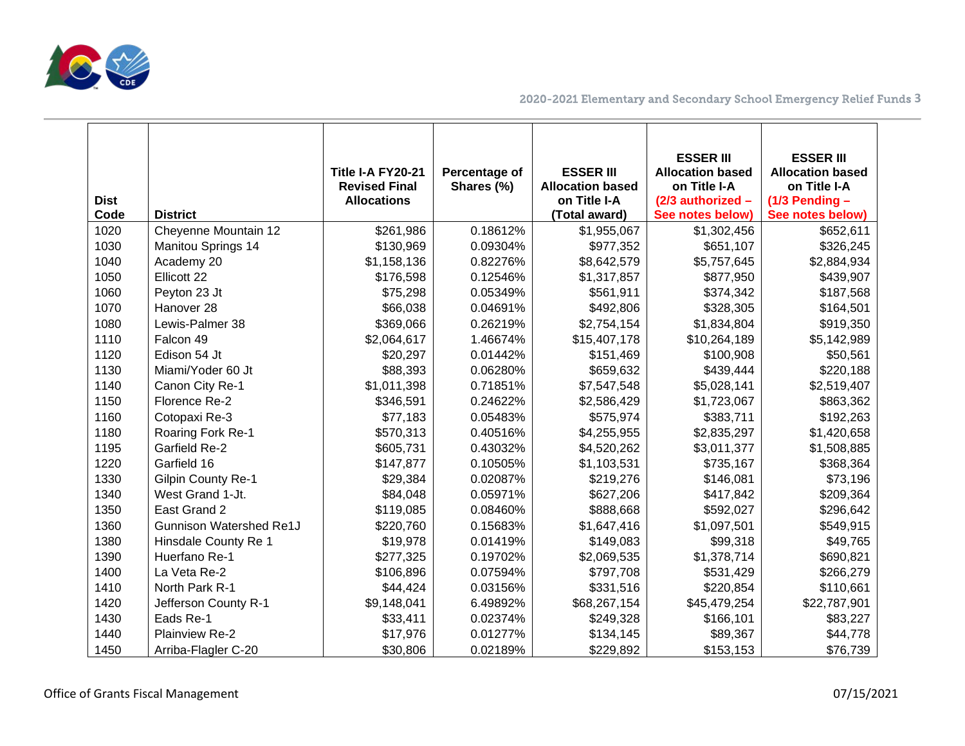

| <b>Dist</b><br>Code | <b>District</b>                | Title I-A FY20-21<br><b>Revised Final</b><br><b>Allocations</b> | Percentage of<br>Shares (%) | <b>ESSER III</b><br><b>Allocation based</b><br>on Title I-A<br>(Total award) | <b>ESSER III</b><br><b>Allocation based</b><br>on Title I-A<br>(2/3 authorized -<br>See notes below) | <b>ESSER III</b><br><b>Allocation based</b><br>on Title I-A<br>$(1/3$ Pending -<br>See notes below) |
|---------------------|--------------------------------|-----------------------------------------------------------------|-----------------------------|------------------------------------------------------------------------------|------------------------------------------------------------------------------------------------------|-----------------------------------------------------------------------------------------------------|
| 1020                | Cheyenne Mountain 12           | \$261,986                                                       | 0.18612%                    | \$1,955,067                                                                  | \$1,302,456                                                                                          | \$652,611                                                                                           |
| 1030                | Manitou Springs 14             | \$130,969                                                       | 0.09304%                    | \$977,352                                                                    | \$651,107                                                                                            | \$326,245                                                                                           |
| 1040                | Academy 20                     | \$1,158,136                                                     | 0.82276%                    | \$8,642,579                                                                  | \$5,757,645                                                                                          | \$2,884,934                                                                                         |
| 1050                | Ellicott 22                    | \$176,598                                                       | 0.12546%                    | \$1,317,857                                                                  | \$877,950                                                                                            | \$439,907                                                                                           |
| 1060                | Peyton 23 Jt                   | \$75,298                                                        | 0.05349%                    | \$561,911                                                                    | \$374,342                                                                                            | \$187,568                                                                                           |
| 1070                | Hanover 28                     | \$66,038                                                        | 0.04691%                    | \$492,806                                                                    | \$328,305                                                                                            | \$164,501                                                                                           |
| 1080                | Lewis-Palmer 38                | \$369,066                                                       | 0.26219%                    | \$2,754,154                                                                  | \$1,834,804                                                                                          | \$919,350                                                                                           |
| 1110                | Falcon 49                      | \$2,064,617                                                     | 1.46674%                    | \$15,407,178                                                                 | \$10,264,189                                                                                         | \$5,142,989                                                                                         |
| 1120                | Edison 54 Jt                   | \$20,297                                                        | 0.01442%                    | \$151,469                                                                    | \$100,908                                                                                            | \$50,561                                                                                            |
| 1130                | Miami/Yoder 60 Jt              | \$88,393                                                        | 0.06280%                    | \$659,632                                                                    | \$439,444                                                                                            | \$220,188                                                                                           |
| 1140                | Canon City Re-1                | \$1,011,398                                                     | 0.71851%                    | \$7,547,548                                                                  | \$5,028,141                                                                                          | \$2,519,407                                                                                         |
| 1150                | Florence Re-2                  | \$346,591                                                       | 0.24622%                    | \$2,586,429                                                                  | \$1,723,067                                                                                          | \$863,362                                                                                           |
| 1160                | Cotopaxi Re-3                  | \$77,183                                                        | 0.05483%                    | \$575,974                                                                    | \$383,711                                                                                            | \$192,263                                                                                           |
| 1180                | Roaring Fork Re-1              | \$570,313                                                       | 0.40516%                    | \$4,255,955                                                                  | \$2,835,297                                                                                          | \$1,420,658                                                                                         |
| 1195                | <b>Garfield Re-2</b>           | \$605,731                                                       | 0.43032%                    | \$4,520,262                                                                  | \$3,011,377                                                                                          | \$1,508,885                                                                                         |
| 1220                | Garfield 16                    | \$147,877                                                       | 0.10505%                    | \$1,103,531                                                                  | \$735,167                                                                                            | \$368,364                                                                                           |
| 1330                | Gilpin County Re-1             | \$29,384                                                        | 0.02087%                    | \$219,276                                                                    | \$146,081                                                                                            | \$73,196                                                                                            |
| 1340                | West Grand 1-Jt.               | \$84,048                                                        | 0.05971%                    | \$627,206                                                                    | \$417,842                                                                                            | \$209,364                                                                                           |
| 1350                | East Grand 2                   | \$119,085                                                       | 0.08460%                    | \$888,668                                                                    | \$592,027                                                                                            | \$296,642                                                                                           |
| 1360                | <b>Gunnison Watershed Re1J</b> | \$220,760                                                       | 0.15683%                    | \$1,647,416                                                                  | \$1,097,501                                                                                          | \$549,915                                                                                           |
| 1380                | Hinsdale County Re 1           | \$19,978                                                        | 0.01419%                    | \$149,083                                                                    | \$99,318                                                                                             | \$49,765                                                                                            |
| 1390                | Huerfano Re-1                  | \$277,325                                                       | 0.19702%                    | \$2,069,535                                                                  | \$1,378,714                                                                                          | \$690,821                                                                                           |
| 1400                | La Veta Re-2                   | \$106,896                                                       | 0.07594%                    | \$797,708                                                                    | \$531,429                                                                                            | \$266,279                                                                                           |
| 1410                | North Park R-1                 | \$44,424                                                        | 0.03156%                    | \$331,516                                                                    | \$220,854                                                                                            | \$110,661                                                                                           |
| 1420                | Jefferson County R-1           | \$9,148,041                                                     | 6.49892%                    | \$68,267,154                                                                 | \$45,479,254                                                                                         | \$22,787,901                                                                                        |
| 1430                | Eads Re-1                      | \$33,411                                                        | 0.02374%                    | \$249,328                                                                    | \$166,101                                                                                            | \$83,227                                                                                            |
| 1440                | <b>Plainview Re-2</b>          | \$17,976                                                        | 0.01277%                    | \$134,145                                                                    | \$89,367                                                                                             | \$44,778                                                                                            |
| 1450                | Arriba-Flagler C-20            | \$30,806                                                        | 0.02189%                    | \$229,892                                                                    | \$153,153                                                                                            | \$76,739                                                                                            |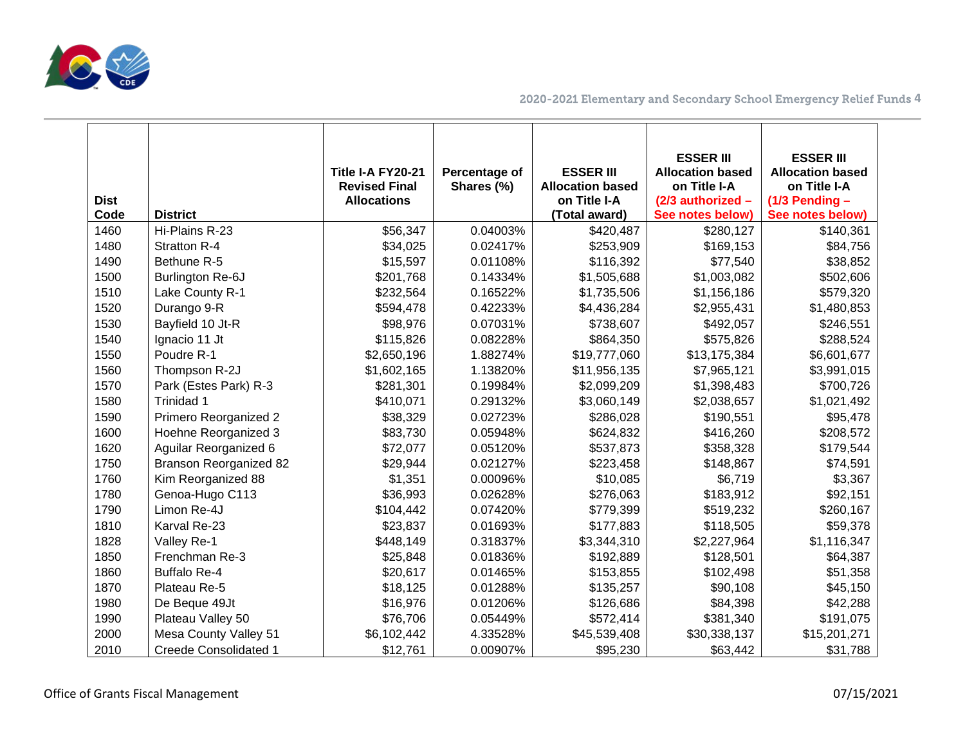

| <b>Dist</b><br>Code | <b>District</b>               | Title I-A FY20-21<br><b>Revised Final</b><br><b>Allocations</b> | Percentage of<br>Shares (%) | <b>ESSER III</b><br><b>Allocation based</b><br>on Title I-A<br>(Total award) | <b>ESSER III</b><br><b>Allocation based</b><br>on Title I-A<br>(2/3 authorized -<br>See notes below) | <b>ESSER III</b><br><b>Allocation based</b><br>on Title I-A<br>$(1/3$ Pending -<br>See notes below) |
|---------------------|-------------------------------|-----------------------------------------------------------------|-----------------------------|------------------------------------------------------------------------------|------------------------------------------------------------------------------------------------------|-----------------------------------------------------------------------------------------------------|
| 1460                | Hi-Plains R-23                | \$56,347                                                        | 0.04003%                    | \$420,487                                                                    | \$280,127                                                                                            | \$140,361                                                                                           |
| 1480                | Stratton R-4                  | \$34,025                                                        | 0.02417%                    | \$253,909                                                                    | \$169,153                                                                                            | \$84,756                                                                                            |
| 1490                | Bethune R-5                   | \$15,597                                                        | 0.01108%                    | \$116,392                                                                    | \$77,540                                                                                             | \$38,852                                                                                            |
| 1500                | Burlington Re-6J              | \$201,768                                                       | 0.14334%                    | \$1,505,688                                                                  | \$1,003,082                                                                                          | \$502,606                                                                                           |
| 1510                | Lake County R-1               | \$232,564                                                       | 0.16522%                    | \$1,735,506                                                                  | \$1,156,186                                                                                          | \$579,320                                                                                           |
| 1520                | Durango 9-R                   | \$594,478                                                       | 0.42233%                    | \$4,436,284                                                                  | \$2,955,431                                                                                          | \$1,480,853                                                                                         |
| 1530                | Bayfield 10 Jt-R              | \$98,976                                                        | 0.07031%                    | \$738,607                                                                    | \$492,057                                                                                            | \$246,551                                                                                           |
| 1540                | Ignacio 11 Jt                 | \$115,826                                                       | 0.08228%                    | \$864,350                                                                    | \$575,826                                                                                            | \$288,524                                                                                           |
| 1550                | Poudre R-1                    | \$2,650,196                                                     | 1.88274%                    | \$19,777,060                                                                 | \$13,175,384                                                                                         | \$6,601,677                                                                                         |
| 1560                | Thompson R-2J                 | \$1,602,165                                                     | 1.13820%                    | \$11,956,135                                                                 | \$7,965,121                                                                                          | \$3,991,015                                                                                         |
| 1570                | Park (Estes Park) R-3         | \$281,301                                                       | 0.19984%                    | \$2,099,209                                                                  | \$1,398,483                                                                                          | \$700,726                                                                                           |
| 1580                | Trinidad 1                    | \$410,071                                                       | 0.29132%                    | \$3,060,149                                                                  | \$2,038,657                                                                                          | \$1,021,492                                                                                         |
| 1590                | Primero Reorganized 2         | \$38,329                                                        | 0.02723%                    | \$286,028                                                                    | \$190,551                                                                                            | \$95,478                                                                                            |
| 1600                | Hoehne Reorganized 3          | \$83,730                                                        | 0.05948%                    | \$624,832                                                                    | \$416,260                                                                                            | \$208,572                                                                                           |
| 1620                | Aguilar Reorganized 6         | \$72,077                                                        | 0.05120%                    | \$537,873                                                                    | \$358,328                                                                                            | \$179,544                                                                                           |
| 1750                | <b>Branson Reorganized 82</b> | \$29,944                                                        | 0.02127%                    | \$223,458                                                                    | \$148,867                                                                                            | \$74,591                                                                                            |
| 1760                | Kim Reorganized 88            | \$1,351                                                         | 0.00096%                    | \$10,085                                                                     | \$6,719                                                                                              | \$3,367                                                                                             |
| 1780                | Genoa-Hugo C113               | \$36,993                                                        | 0.02628%                    | \$276,063                                                                    | \$183,912                                                                                            | \$92,151                                                                                            |
| 1790                | Limon Re-4J                   | \$104,442                                                       | 0.07420%                    | \$779,399                                                                    | \$519,232                                                                                            | \$260,167                                                                                           |
| 1810                | Karval Re-23                  | \$23,837                                                        | 0.01693%                    | \$177,883                                                                    | \$118,505                                                                                            | \$59,378                                                                                            |
| 1828                | Valley Re-1                   | \$448,149                                                       | 0.31837%                    | \$3,344,310                                                                  | \$2,227,964                                                                                          | \$1,116,347                                                                                         |
| 1850                | Frenchman Re-3                | \$25,848                                                        | 0.01836%                    | \$192,889                                                                    | \$128,501                                                                                            | \$64,387                                                                                            |
| 1860                | <b>Buffalo Re-4</b>           | \$20,617                                                        | 0.01465%                    | \$153,855                                                                    | \$102,498                                                                                            | \$51,358                                                                                            |
| 1870                | Plateau Re-5                  | \$18,125                                                        | 0.01288%                    | \$135,257                                                                    | \$90,108                                                                                             | \$45,150                                                                                            |
| 1980                | De Beque 49Jt                 | \$16,976                                                        | 0.01206%                    | \$126,686                                                                    | \$84,398                                                                                             | \$42,288                                                                                            |
| 1990                | Plateau Valley 50             | \$76,706                                                        | 0.05449%                    | \$572,414                                                                    | \$381,340                                                                                            | \$191,075                                                                                           |
| 2000                | Mesa County Valley 51         | \$6,102,442                                                     | 4.33528%                    | \$45,539,408                                                                 | \$30,338,137                                                                                         | \$15,201,271                                                                                        |
| 2010                | <b>Creede Consolidated 1</b>  | \$12,761                                                        | 0.00907%                    | \$95,230                                                                     | \$63,442                                                                                             | \$31,788                                                                                            |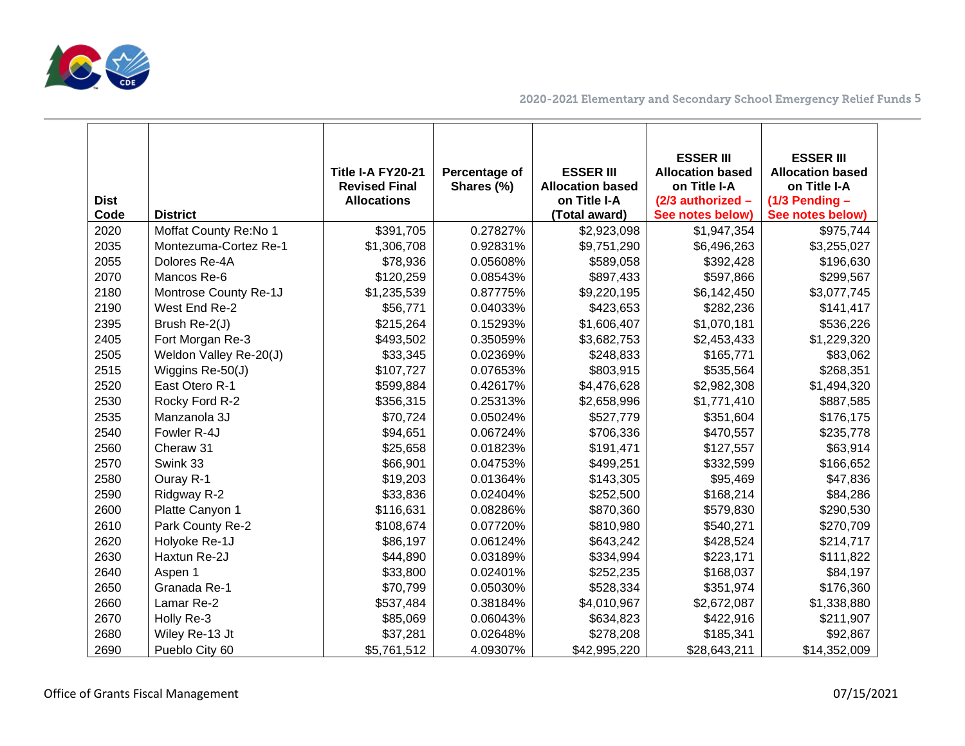

| <b>Dist</b><br>Code | <b>District</b>        | Title I-A FY20-21<br><b>Revised Final</b><br><b>Allocations</b> | Percentage of<br>Shares (%) | <b>ESSER III</b><br><b>Allocation based</b><br>on Title I-A<br>(Total award) | <b>ESSER III</b><br><b>Allocation based</b><br>on Title I-A<br>(2/3 authorized -<br>See notes below) | <b>ESSER III</b><br><b>Allocation based</b><br>on Title I-A<br>$(1/3$ Pending -<br>See notes below) |
|---------------------|------------------------|-----------------------------------------------------------------|-----------------------------|------------------------------------------------------------------------------|------------------------------------------------------------------------------------------------------|-----------------------------------------------------------------------------------------------------|
| 2020                | Moffat County Re:No 1  | \$391,705                                                       | 0.27827%                    | \$2,923,098                                                                  | \$1,947,354                                                                                          | \$975,744                                                                                           |
| 2035                | Montezuma-Cortez Re-1  | \$1,306,708                                                     | 0.92831%                    | \$9,751,290                                                                  | \$6,496,263                                                                                          | \$3,255,027                                                                                         |
| 2055                | Dolores Re-4A          | \$78,936                                                        | 0.05608%                    | \$589,058                                                                    | \$392,428                                                                                            | \$196,630                                                                                           |
| 2070                | Mancos Re-6            | \$120,259                                                       | 0.08543%                    | \$897,433                                                                    | \$597,866                                                                                            | \$299,567                                                                                           |
| 2180                | Montrose County Re-1J  | \$1,235,539                                                     | 0.87775%                    | \$9,220,195                                                                  | \$6,142,450                                                                                          | \$3,077,745                                                                                         |
| 2190                | West End Re-2          | \$56,771                                                        | 0.04033%                    | \$423,653                                                                    | \$282,236                                                                                            | \$141,417                                                                                           |
| 2395                | Brush Re-2(J)          | \$215,264                                                       | 0.15293%                    | \$1,606,407                                                                  | \$1,070,181                                                                                          | \$536,226                                                                                           |
| 2405                | Fort Morgan Re-3       | \$493,502                                                       | 0.35059%                    | \$3,682,753                                                                  | \$2,453,433                                                                                          | \$1,229,320                                                                                         |
| 2505                | Weldon Valley Re-20(J) | \$33,345                                                        | 0.02369%                    | \$248,833                                                                    | \$165,771                                                                                            | \$83,062                                                                                            |
| 2515                | Wiggins Re-50(J)       | \$107,727                                                       | 0.07653%                    | \$803,915                                                                    | \$535,564                                                                                            | \$268,351                                                                                           |
| 2520                | East Otero R-1         | \$599,884                                                       | 0.42617%                    | \$4,476,628                                                                  | \$2,982,308                                                                                          | \$1,494,320                                                                                         |
| 2530                | Rocky Ford R-2         | \$356,315                                                       | 0.25313%                    | \$2,658,996                                                                  | \$1,771,410                                                                                          | \$887,585                                                                                           |
| 2535                | Manzanola 3J           | \$70,724                                                        | 0.05024%                    | \$527,779                                                                    | \$351,604                                                                                            | \$176,175                                                                                           |
| 2540                | Fowler R-4J            | \$94,651                                                        | 0.06724%                    | \$706,336                                                                    | \$470,557                                                                                            | \$235,778                                                                                           |
| 2560                | Cheraw 31              | \$25,658                                                        | 0.01823%                    | \$191,471                                                                    | \$127,557                                                                                            | \$63,914                                                                                            |
| 2570                | Swink 33               | \$66,901                                                        | 0.04753%                    | \$499,251                                                                    | \$332,599                                                                                            | \$166,652                                                                                           |
| 2580                | Ouray R-1              | \$19,203                                                        | 0.01364%                    | \$143,305                                                                    | \$95,469                                                                                             | \$47,836                                                                                            |
| 2590                | Ridgway R-2            | \$33,836                                                        | 0.02404%                    | \$252,500                                                                    | \$168,214                                                                                            | \$84,286                                                                                            |
| 2600                | Platte Canyon 1        | \$116,631                                                       | 0.08286%                    | \$870,360                                                                    | \$579,830                                                                                            | \$290,530                                                                                           |
| 2610                | Park County Re-2       | \$108,674                                                       | 0.07720%                    | \$810,980                                                                    | \$540,271                                                                                            | \$270,709                                                                                           |
| 2620                | Holyoke Re-1J          | \$86,197                                                        | 0.06124%                    | \$643,242                                                                    | \$428,524                                                                                            | \$214,717                                                                                           |
| 2630                | Haxtun Re-2J           | \$44,890                                                        | 0.03189%                    | \$334,994                                                                    | \$223,171                                                                                            | \$111,822                                                                                           |
| 2640                | Aspen 1                | \$33,800                                                        | 0.02401%                    | \$252,235                                                                    | \$168,037                                                                                            | \$84,197                                                                                            |
| 2650                | Granada Re-1           | \$70,799                                                        | 0.05030%                    | \$528,334                                                                    | \$351,974                                                                                            | \$176,360                                                                                           |
| 2660                | Lamar Re-2             | \$537,484                                                       | 0.38184%                    | \$4,010,967                                                                  | \$2,672,087                                                                                          | \$1,338,880                                                                                         |
| 2670                | Holly Re-3             | \$85,069                                                        | 0.06043%                    | \$634,823                                                                    | \$422,916                                                                                            | \$211,907                                                                                           |
| 2680                | Wiley Re-13 Jt         | \$37,281                                                        | 0.02648%                    | \$278,208                                                                    | \$185,341                                                                                            | \$92,867                                                                                            |
| 2690                | Pueblo City 60         | \$5,761,512                                                     | 4.09307%                    | \$42,995,220                                                                 | \$28,643,211                                                                                         | \$14,352,009                                                                                        |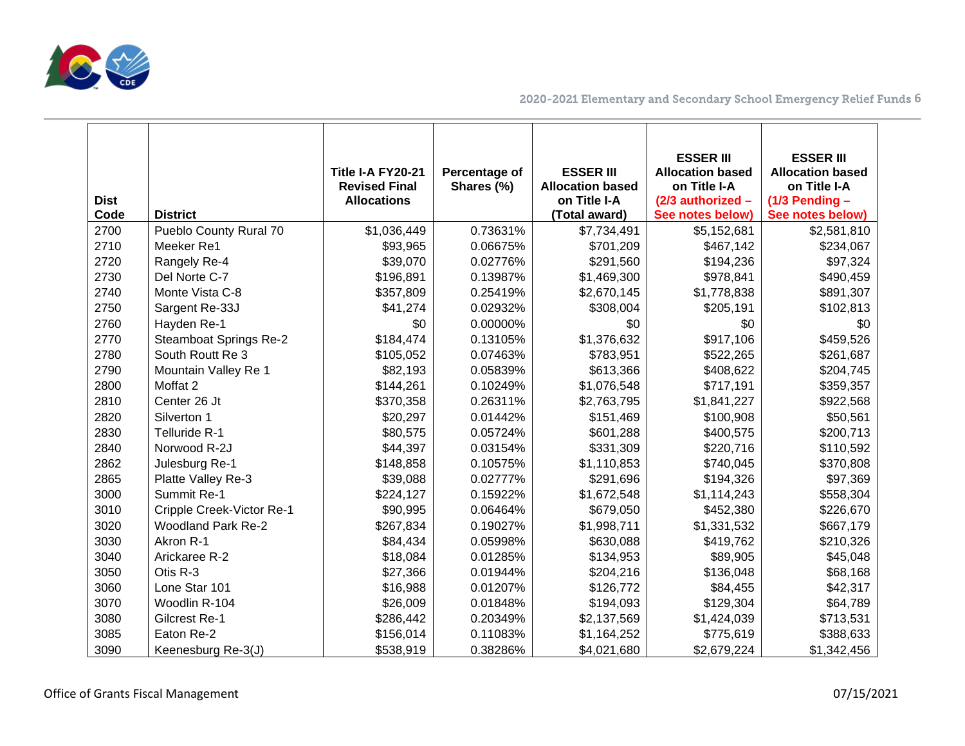

| <b>Dist</b><br>Code | <b>District</b>               | Title I-A FY20-21<br><b>Revised Final</b><br><b>Allocations</b> | Percentage of<br>Shares (%) | <b>ESSER III</b><br><b>Allocation based</b><br>on Title I-A<br>(Total award) | <b>ESSER III</b><br><b>Allocation based</b><br>on Title I-A<br>(2/3 authorized -<br>See notes below) | <b>ESSER III</b><br><b>Allocation based</b><br>on Title I-A<br>$(1/3$ Pending -<br>See notes below) |
|---------------------|-------------------------------|-----------------------------------------------------------------|-----------------------------|------------------------------------------------------------------------------|------------------------------------------------------------------------------------------------------|-----------------------------------------------------------------------------------------------------|
| 2700                | Pueblo County Rural 70        | \$1,036,449                                                     | 0.73631%                    | \$7,734,491                                                                  | \$5,152,681                                                                                          | \$2,581,810                                                                                         |
| 2710                | Meeker Re1                    | \$93,965                                                        | 0.06675%                    | \$701,209                                                                    | \$467,142                                                                                            | \$234,067                                                                                           |
| 2720                | Rangely Re-4                  | \$39,070                                                        | 0.02776%                    | \$291,560                                                                    | \$194,236                                                                                            | \$97,324                                                                                            |
| 2730                | Del Norte C-7                 | \$196,891                                                       | 0.13987%                    | \$1,469,300                                                                  | \$978,841                                                                                            | \$490,459                                                                                           |
| 2740                | Monte Vista C-8               | \$357,809                                                       | 0.25419%                    | \$2,670,145                                                                  | \$1,778,838                                                                                          | \$891,307                                                                                           |
| 2750                | Sargent Re-33J                | \$41,274                                                        | 0.02932%                    | \$308,004                                                                    | \$205,191                                                                                            | \$102,813                                                                                           |
| 2760                | Hayden Re-1                   | \$0                                                             | 0.00000%                    | \$0                                                                          | \$0                                                                                                  | \$0                                                                                                 |
| 2770                | <b>Steamboat Springs Re-2</b> | \$184,474                                                       | 0.13105%                    | \$1,376,632                                                                  | \$917,106                                                                                            | \$459,526                                                                                           |
| 2780                | South Routt Re 3              | \$105,052                                                       | 0.07463%                    | \$783,951                                                                    | \$522,265                                                                                            | \$261,687                                                                                           |
| 2790                | Mountain Valley Re 1          | \$82,193                                                        | 0.05839%                    | \$613,366                                                                    | \$408,622                                                                                            | \$204,745                                                                                           |
| 2800                | Moffat 2                      | \$144,261                                                       | 0.10249%                    | \$1,076,548                                                                  | \$717,191                                                                                            | \$359,357                                                                                           |
| 2810                | Center 26 Jt                  | \$370,358                                                       | 0.26311%                    | \$2,763,795                                                                  | \$1,841,227                                                                                          | \$922,568                                                                                           |
| 2820                | Silverton 1                   | \$20,297                                                        | 0.01442%                    | \$151,469                                                                    | \$100,908                                                                                            | \$50,561                                                                                            |
| 2830                | Telluride R-1                 | \$80,575                                                        | 0.05724%                    | \$601,288                                                                    | \$400,575                                                                                            | \$200,713                                                                                           |
| 2840                | Norwood R-2J                  | \$44,397                                                        | 0.03154%                    | \$331,309                                                                    | \$220,716                                                                                            | \$110,592                                                                                           |
| 2862                | Julesburg Re-1                | \$148,858                                                       | 0.10575%                    | \$1,110,853                                                                  | \$740,045                                                                                            | \$370,808                                                                                           |
| 2865                | Platte Valley Re-3            | \$39,088                                                        | 0.02777%                    | \$291,696                                                                    | \$194,326                                                                                            | \$97,369                                                                                            |
| 3000                | Summit Re-1                   | \$224,127                                                       | 0.15922%                    | \$1,672,548                                                                  | \$1,114,243                                                                                          | \$558,304                                                                                           |
| 3010                | Cripple Creek-Victor Re-1     | \$90,995                                                        | 0.06464%                    | \$679,050                                                                    | \$452,380                                                                                            | \$226,670                                                                                           |
| 3020                | <b>Woodland Park Re-2</b>     | \$267,834                                                       | 0.19027%                    | \$1,998,711                                                                  | \$1,331,532                                                                                          | \$667,179                                                                                           |
| 3030                | Akron R-1                     | \$84,434                                                        | 0.05998%                    | \$630,088                                                                    | \$419,762                                                                                            | \$210,326                                                                                           |
| 3040                | Arickaree R-2                 | \$18,084                                                        | 0.01285%                    | \$134,953                                                                    | \$89,905                                                                                             | \$45,048                                                                                            |
| 3050                | Otis R-3                      | \$27,366                                                        | 0.01944%                    | \$204,216                                                                    | \$136,048                                                                                            | \$68,168                                                                                            |
| 3060                | Lone Star 101                 | \$16,988                                                        | 0.01207%                    | \$126,772                                                                    | \$84,455                                                                                             | \$42,317                                                                                            |
| 3070                | Woodlin R-104                 | \$26,009                                                        | 0.01848%                    | \$194,093                                                                    | \$129,304                                                                                            | \$64,789                                                                                            |
| 3080                | Gilcrest Re-1                 | \$286,442                                                       | 0.20349%                    | \$2,137,569                                                                  | \$1,424,039                                                                                          | \$713,531                                                                                           |
| 3085                | Eaton Re-2                    | \$156,014                                                       | 0.11083%                    | \$1,164,252                                                                  | \$775,619                                                                                            | \$388,633                                                                                           |
| 3090                | Keenesburg Re-3(J)            | \$538,919                                                       | 0.38286%                    | \$4,021,680                                                                  | \$2,679,224                                                                                          | \$1,342,456                                                                                         |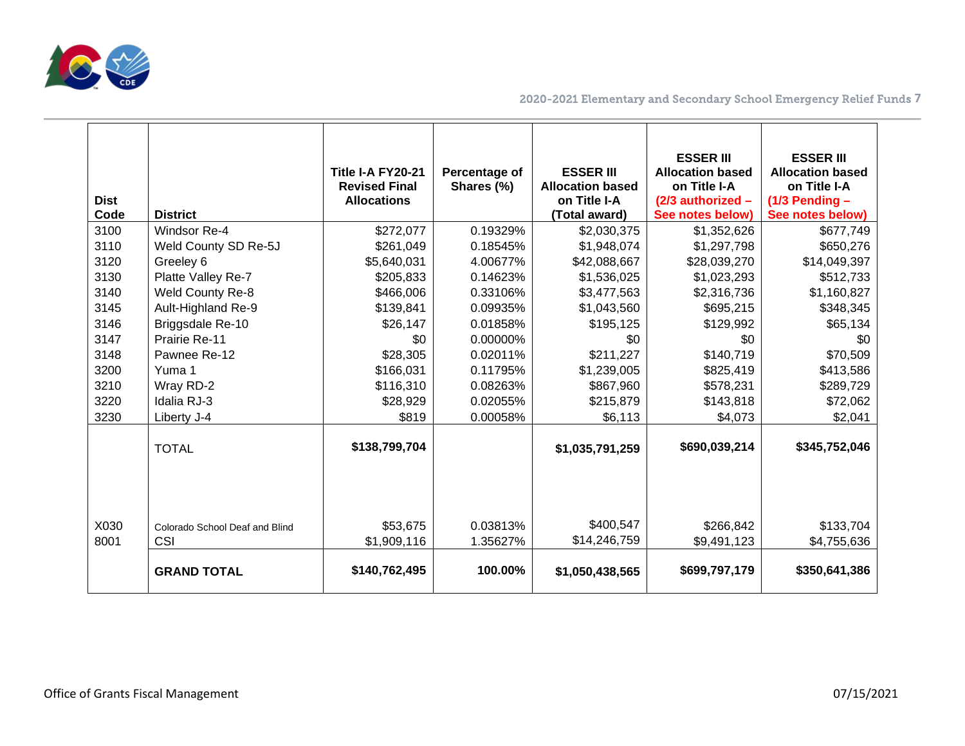

| <b>Dist</b><br>Code<br>3100 | <b>District</b><br>Windsor Re-4       | <b>Title I-A FY20-21</b><br><b>Revised Final</b><br><b>Allocations</b><br>\$272,077 | Percentage of<br>Shares (%)<br>0.19329% | <b>ESSER III</b><br><b>Allocation based</b><br>on Title I-A<br>(Total award)<br>\$2,030,375 | <b>ESSER III</b><br><b>Allocation based</b><br>on Title I-A<br>(2/3 authorized -<br>See notes below)<br>\$1,352,626 | <b>ESSER III</b><br><b>Allocation based</b><br>on Title I-A<br>$(1/3$ Pending -<br>See notes below)<br>\$677,749 |
|-----------------------------|---------------------------------------|-------------------------------------------------------------------------------------|-----------------------------------------|---------------------------------------------------------------------------------------------|---------------------------------------------------------------------------------------------------------------------|------------------------------------------------------------------------------------------------------------------|
| 3110                        | Weld County SD Re-5J                  | \$261,049                                                                           | 0.18545%                                | \$1,948,074                                                                                 | \$1,297,798                                                                                                         | \$650,276                                                                                                        |
| 3120                        | Greeley 6                             | \$5,640,031                                                                         | 4.00677%                                | \$42,088,667                                                                                | \$28,039,270                                                                                                        | \$14,049,397                                                                                                     |
| 3130                        | Platte Valley Re-7                    | \$205,833                                                                           | 0.14623%                                | \$1,536,025                                                                                 | \$1,023,293                                                                                                         | \$512,733                                                                                                        |
| 3140                        | <b>Weld County Re-8</b>               | \$466,006                                                                           | 0.33106%                                | \$3,477,563                                                                                 | \$2,316,736                                                                                                         | \$1,160,827                                                                                                      |
| 3145                        | Ault-Highland Re-9                    | \$139,841                                                                           | 0.09935%                                | \$1,043,560                                                                                 | \$695,215                                                                                                           | \$348,345                                                                                                        |
| 3146                        | Briggsdale Re-10                      | \$26,147                                                                            | 0.01858%                                | \$195,125                                                                                   | \$129,992                                                                                                           | \$65,134                                                                                                         |
| 3147                        | Prairie Re-11                         | \$0                                                                                 | 0.00000%                                | \$0                                                                                         | \$0                                                                                                                 | \$0                                                                                                              |
| 3148                        | Pawnee Re-12                          | \$28,305                                                                            | 0.02011%                                | \$211,227                                                                                   | \$140,719                                                                                                           | \$70,509                                                                                                         |
| 3200                        | Yuma 1                                | \$166,031                                                                           | 0.11795%                                | \$1,239,005                                                                                 | \$825,419                                                                                                           | \$413,586                                                                                                        |
| 3210                        | Wray RD-2                             | \$116,310                                                                           | 0.08263%                                | \$867,960                                                                                   | \$578,231                                                                                                           | \$289,729                                                                                                        |
| 3220                        | Idalia RJ-3                           | \$28,929                                                                            | 0.02055%                                | \$215,879                                                                                   | \$143,818                                                                                                           | \$72,062                                                                                                         |
| 3230                        | Liberty J-4                           | \$819                                                                               | 0.00058%                                | \$6,113                                                                                     | \$4,073                                                                                                             | \$2,041                                                                                                          |
|                             | <b>TOTAL</b>                          | \$138,799,704                                                                       |                                         | \$1,035,791,259                                                                             | \$690,039,214                                                                                                       | \$345,752,046                                                                                                    |
| X030<br>8001                | Colorado School Deaf and Blind<br>CSI | \$53,675<br>\$1,909,116                                                             | 0.03813%<br>1.35627%                    | \$400,547<br>\$14,246,759                                                                   | \$266,842<br>\$9,491,123                                                                                            | \$133,704<br>\$4,755,636                                                                                         |
|                             | <b>GRAND TOTAL</b>                    | \$140,762,495                                                                       | 100.00%                                 | \$1,050,438,565                                                                             | \$699,797,179                                                                                                       | \$350,641,386                                                                                                    |